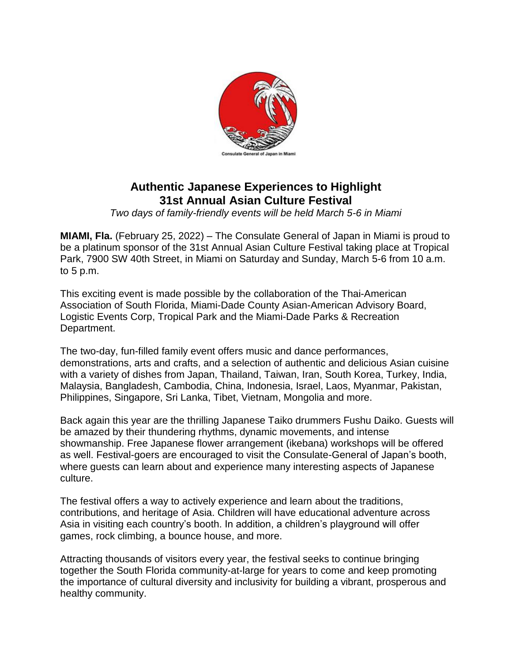

## **Authentic Japanese Experiences to Highlight 31st Annual Asian Culture Festival**

*Two days of family-friendly events will be held March 5-6 in Miami*

**MIAMI, Fla.** (February 25, 2022) – The Consulate General of Japan in Miami is proud to be a platinum sponsor of the 31st Annual Asian Culture Festival taking place at Tropical Park, 7900 SW 40th Street, in Miami on Saturday and Sunday, March 5-6 from 10 a.m. to 5 p.m.

This exciting event is made possible by the collaboration of the Thai-American Association of South Florida, Miami-Dade County Asian-American Advisory Board, Logistic Events Corp, Tropical Park and the Miami-Dade Parks & Recreation Department.

The two-day, fun-filled family event offers music and dance performances, demonstrations, arts and crafts, and a selection of authentic and delicious Asian cuisine with a variety of dishes from Japan, Thailand, Taiwan, Iran, South Korea, Turkey, India, Malaysia, Bangladesh, Cambodia, China, Indonesia, Israel, Laos, Myanmar, Pakistan, Philippines, Singapore, Sri Lanka, Tibet, Vietnam, Mongolia and more.

Back again this year are the thrilling Japanese Taiko drummers Fushu Daiko. Guests will be amazed by their thundering rhythms, dynamic movements, and intense showmanship. Free Japanese flower arrangement (ikebana) workshops will be offered as well. Festival-goers are encouraged to visit the Consulate-General of Japan's booth, where guests can learn about and experience many interesting aspects of Japanese culture.

The festival offers a way to actively experience and learn about the traditions, contributions, and heritage of Asia. Children will have educational adventure across Asia in visiting each country's booth. In addition, a children's playground will offer games, rock climbing, a bounce house, and more.

Attracting thousands of visitors every year, the festival seeks to continue bringing together the South Florida community-at-large for years to come and keep promoting the importance of cultural diversity and inclusivity for building a vibrant, prosperous and healthy community.